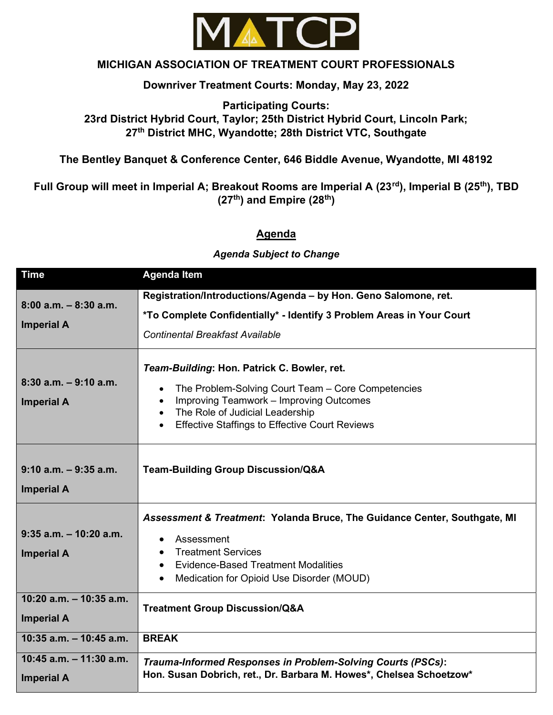

## MICHIGAN ASSOCIATION OF TREATMENT COURT PROFESSIONALS

#### Downriver Treatment Courts: Monday, May 23, 2022

## Participating Courts: 23rd District Hybrid Court, Taylor; 25th District Hybrid Court, Lincoln Park; 27<sup>th</sup> District MHC, Wyandotte; 28th District VTC, Southgate

### The Bentley Banquet & Conference Center, 646 Biddle Avenue, Wyandotte, MI 48192

# Full Group will meet in Imperial A; Breakout Rooms are Imperial A (23<sup>rd</sup>), Imperial B (25<sup>th</sup>), TBD  $(27<sup>th</sup>)$  and Empire  $(28<sup>th</sup>)$

#### Agenda

#### Agenda Subject to Change

| <b>Time</b>                                     | <b>Agenda Item</b>                                                                                                                                                                                                                                                              |
|-------------------------------------------------|---------------------------------------------------------------------------------------------------------------------------------------------------------------------------------------------------------------------------------------------------------------------------------|
| $8:00$ a.m. $-8:30$ a.m.<br><b>Imperial A</b>   | Registration/Introductions/Agenda - by Hon. Geno Salomone, ret.<br>*To Complete Confidentially* - Identify 3 Problem Areas in Your Court<br><b>Continental Breakfast Available</b>                                                                                              |
| $8:30$ a.m. $-9:10$ a.m.<br><b>Imperial A</b>   | Team-Building: Hon. Patrick C. Bowler, ret.<br>The Problem-Solving Court Team - Core Competencies<br>Improving Teamwork - Improving Outcomes<br>$\bullet$<br>The Role of Judicial Leadership<br>$\bullet$<br><b>Effective Staffings to Effective Court Reviews</b><br>$\bullet$ |
| $9:10$ a.m. $-9:35$ a.m.<br><b>Imperial A</b>   | <b>Team-Building Group Discussion/Q&amp;A</b>                                                                                                                                                                                                                                   |
| $9:35$ a.m. $-10:20$ a.m.<br><b>Imperial A</b>  | Assessment & Treatment: Yolanda Bruce, The Guidance Center, Southgate, MI<br>Assessment<br>$\bullet$<br><b>Treatment Services</b><br>$\bullet$<br><b>Evidence-Based Treatment Modalities</b><br>$\bullet$<br>Medication for Opioid Use Disorder (MOUD)                          |
| $10:20$ a.m. $-10:35$ a.m.<br><b>Imperial A</b> | <b>Treatment Group Discussion/Q&amp;A</b>                                                                                                                                                                                                                                       |
| $10:35$ a.m. $-10:45$ a.m.                      | <b>BREAK</b>                                                                                                                                                                                                                                                                    |
| 10:45 a.m. $-$ 11:30 a.m.<br><b>Imperial A</b>  | Trauma-Informed Responses in Problem-Solving Courts (PSCs):<br>Hon. Susan Dobrich, ret., Dr. Barbara M. Howes*, Chelsea Schoetzow*                                                                                                                                              |